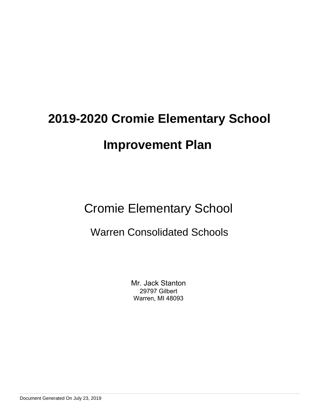Cromie Elementary School

# Warren Consolidated Schools

Mr. Jack Stanton 29797 Gilbert Warren, MI 48093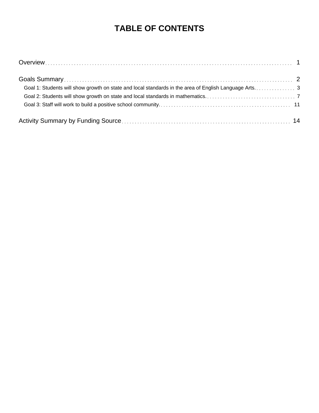# **TABLE OF CONTENTS**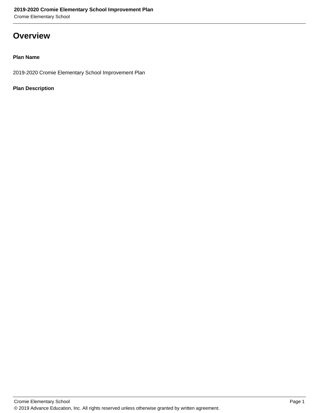Cromie Elementary School

### **Overview**

#### **Plan Name**

2019-2020 Cromie Elementary School Improvement Plan

#### **Plan Description**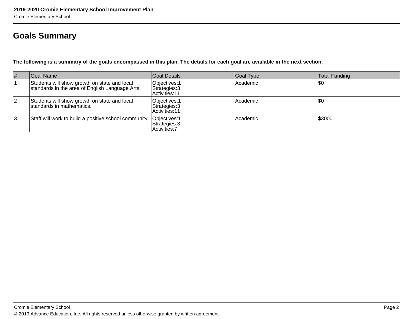# **Goals Summary**

**The following is a summary of the goals encompassed in this plan. The details for each goal are available in the next section.**

| #  | Goal Name                                                                                       | Goal Details                                     | Goal Type | Total Funding |
|----|-------------------------------------------------------------------------------------------------|--------------------------------------------------|-----------|---------------|
|    | Students will show growth on state and local<br>standards in the area of English Language Arts. | Objectives: 1<br>Strategies: 3<br>Activities: 11 | Academic  | \$0           |
| 12 | Students will show growth on state and local<br>standards in mathematics.                       | Objectives: 1<br>Strategies: 3<br>Activities: 11 | Academic  | \$0           |
| 3  | Staff will work to build a positive school community. Objectives: 1                             | Strategies: 3<br>Activities: 7                   | Academic  | 1\$3000       |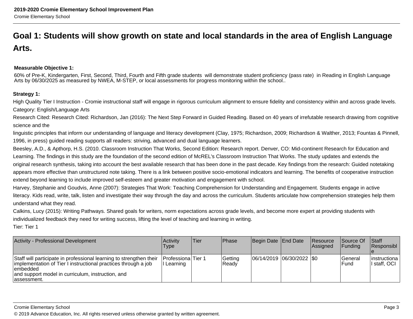# **Goal 1: Students will show growth on state and local standards in the area of English LanguageArts.**

#### **Measurable Objective 1:**

60% of Pre-K, Kindergarten, First, Second, Third, Fourth and Fifth grade students will demonstrate student proficiency (pass rate) in Reading in English LanguageArts by 06/30/2025 as measured by NWEA, M-STEP, or local assessments for progress monitoring within the school..

#### **Strategy 1:**

High Quality Tier I Instruction - Cromie instructional staff will engage in rigorous curriculum alignment to ensure fidelity and consistency within and across grade levels.Category: English/Language Arts

Research Cited: Research Cited: Richardson, Jan (2016): The Next Step Forward in Guided Reading. Based on 40 years of irrefutable research drawing from cognitivescience and the

linguistic principles that inform our understanding of language and literacy development (Clay, 1975; Richardson, 2009; Richardson & Walther, 2013; Fountas & Pinnell,1996, in press) guided reading supports all readers: striving, advanced and dual language learners.

Beesley, A.D., & Apthorp, H.S. (2010. Classroom Instruction That Works, Second Edition: Research report. Denver, CO: Mid-continent Research for Education andLearning. The findings in this study are the foundation of the second edition of McREL's Classroom Instruction That Works. The study updates and extends the original research synthesis, taking into account the best available research that has been done in the past decade. Key findings from the research: Guided notetakingappears more effective than unstructured note taking. There is a link between positive socio-emotional indicators and learning. The benefits of cooperative instructionextend beyond learning to include improved self-esteem and greater motivation and engagement with school.

Harvey, Stephanie and Goudvis, Anne (2007): Strategies That Work: Teaching Comprehension for Understanding and Engagement. Students engage in activeliteracy. Kids read, write, talk, listen and investigate their way through the day and across the curriculum. Students articulate how comprehension strategies help themunderstand what they read.

Calkins, Lucy (2015): Writing Pathways. Shared goals for writers, norm expectations across grade levels, and become more expert at providing students withindividualized feedback they need for writing success, lifting the level of teaching and learning in writing.

| <b>Activity - Professional Development</b>                                                                                                                                                                              | <b>Activity</b><br>Type                   | Tier | <b>Phase</b>       | Begin Date   End Date         | Resource<br><b>Assigned</b> | <b>Source Of</b><br>IFundina | <b>Staff</b><br>Responsibl      |
|-------------------------------------------------------------------------------------------------------------------------------------------------------------------------------------------------------------------------|-------------------------------------------|------|--------------------|-------------------------------|-----------------------------|------------------------------|---------------------------------|
| Staff will participate in professional learning to strengthen their<br>implementation of Tier I instructional practices through a job<br>lembedded<br>and support model in curriculum, instruction, and<br>Tassessment. | <b>IProfessionalTier 1</b><br>II Learning |      | Getting<br>l Readv | $ 06/14/2019 06/30/2022 $ \$0 |                             | lGeneral<br>lFund            | linstructiona<br>Ⅱ staff. OCI Ⅰ |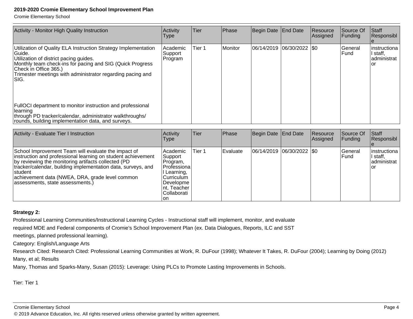Cromie Elementary School

| Activity - Monitor High Quality Instruction                                                                                                                                                                                                                                      | Activity<br>Type                 | Tier   | Phase   | Begin Date End Date         | Resource<br> Assigned | <b>Source Of</b><br>Funding | <b>Staff</b><br>Responsibl                      |
|----------------------------------------------------------------------------------------------------------------------------------------------------------------------------------------------------------------------------------------------------------------------------------|----------------------------------|--------|---------|-----------------------------|-----------------------|-----------------------------|-------------------------------------------------|
| Utilization of Quality ELA Instruction Strategy Implementation<br>lGuide.<br>Utilization of district pacing guides.<br>Monthly team check-ins for pacing and SIG (Quick Progress<br>Check in Office 365.)<br>Trimester meetings with administrator regarding pacing and<br>ISIG. | l Academic<br>Support<br>Program | Tier 1 | Monitor | 06/14/2019  06/30/2022  \$0 |                       | lGeneral<br><b>Fund</b>     | instructiona  <br>staff,<br>∣administrat<br>'or |
| FullOCI department to monitor instruction and professional<br>learning<br>through PD tracker/calendar, administrator walkthroughs/<br>rounds, building implementation data, and surveys.                                                                                         |                                  |        |         |                             |                       |                             |                                                 |

| Activity - Evaluate Tier I Instruction                                                                                                                                                                                                                                                                                                               | Activity<br><b>Type</b>                                                                                                                     | Tier   | Phase            | Begin Date End Date         | Resource<br><b>Assigned</b> | Source Of<br><b>IFunding</b> | Staff<br>Responsibl                             |
|------------------------------------------------------------------------------------------------------------------------------------------------------------------------------------------------------------------------------------------------------------------------------------------------------------------------------------------------------|---------------------------------------------------------------------------------------------------------------------------------------------|--------|------------------|-----------------------------|-----------------------------|------------------------------|-------------------------------------------------|
| School Improvement Team will evaluate the impact of<br>instruction and professional learning on student achievement<br>by reviewing the monitoring artifacts collected (PD<br>tracker/calendar, building implementation data, surveys, and<br><b>Istudent</b><br>achievement data (NWEA, DRA, grade level common<br>assessments, state assessments.) | <b>Academic</b><br> Support_<br>Program,<br>Professional<br>Learning,<br> Curriculum<br> Developme <br>∣nt, Teacher<br> Collaborati_<br>lon | Tier 1 | <b>IEvaluate</b> | 06/14/2019  06/30/2022  \$0 |                             | <b>IGeneral</b><br>lFund     | linstructiona<br>I staff,<br>administrat<br>Tor |

#### **Strategy 2:**

Professional Learning Communities/Instructional Learning Cycles - Instructional staff will implement, monitor, and evaluate

required MDE and Federal components of Cromie's School Improvement Plan (ex. Data Dialogues, Reports, ILC and SST

meetings, planned professional learning).

Category: English/Language Arts

 Research Cited: Research Cited: Professional Learning Communities at Work, R. DuFour (1998); Whatever It Takes, R. DuFour (2004); Learning by Doing (2012)Many, et al; Results

Many, Thomas and Sparks-Many, Susan (2015): Leverage: Using PLCs to Promote Lasting Improvements in Schools.

Tier: Tier 1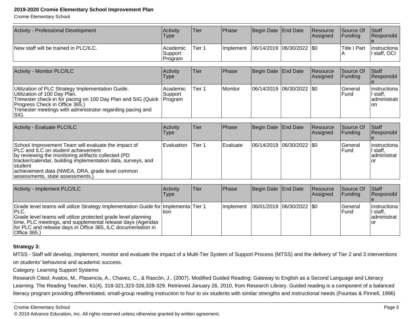Cromie Elementary School

| Activity - Professional Development   | <b>Activity</b><br>Type        | Tier   | <b>IPhase</b>     | Begin Date End Date         | Resource<br><b>Assigned</b> | <b>Source Of</b><br><b>IFunding</b> | <b>Staff</b><br>Responsibl     |
|---------------------------------------|--------------------------------|--------|-------------------|-----------------------------|-----------------------------|-------------------------------------|--------------------------------|
| New staff will be trained in PLC/ILC. | Academic<br>Support<br>Program | Tier 1 | <b>Ilmplement</b> | 06/14/2019  06/30/2022  \$0 |                             | lTitle I Part<br>ΙA                 | linstructional<br>l staff, OCI |

| <b>Activity - Monitor PLC/ILC</b>                                                                                                                                                                                                                                    | <b>Activity</b><br><b>Type</b> | lTier  | <b>Phase</b> | Begin Date   End Date         | <b>Resource</b><br><b>Assigned</b> | <b>Source Of</b><br><b>IFundina</b> | Staff<br>Responsibl                                    |
|----------------------------------------------------------------------------------------------------------------------------------------------------------------------------------------------------------------------------------------------------------------------|--------------------------------|--------|--------------|-------------------------------|------------------------------------|-------------------------------------|--------------------------------------------------------|
| Utilization of PLC Strategy Implementation Guide.<br>Utilization of 100 Day Plan.<br>Trimester check-in for pacing on 100 Day Plan and SIG (Quick   Program<br>Progress Check in Office 365.)<br>Trimester meetings with administrator regarding pacing and<br>ISIG. | l Academic<br>Support          | Tier 1 | Monitor      | $ 06/14/2019 06/30/2022 $ \$0 |                                    | <b>IGeneral</b><br><b>IFund</b>     | linstructional<br>'I staff,<br>ladministrati l<br>lon. |

| Activity - Evaluate PLC/ILC                                                                                                                                                                                                                                                                                                 | <b>Activity</b><br>Type | Tier   | <b>IPhase</b> | Begin Date   End Date       | Resource<br>Assigned | Source Of<br>IFundina          | <b>Staff</b><br>Responsibl               |
|-----------------------------------------------------------------------------------------------------------------------------------------------------------------------------------------------------------------------------------------------------------------------------------------------------------------------------|-------------------------|--------|---------------|-----------------------------|----------------------|--------------------------------|------------------------------------------|
| School Improvement Team will evaluate the impact of<br><b>IPLC and ILC on student achievement</b><br>by reviewing the monitoring artifacts collected (PD<br>tracker/calendar, building implementation data, surveys, and<br>Istudent<br>achievement data (NWEA, DRA, grade level common<br>assessments, state assessments.) | <b>Evaluation</b>       | Tier 1 | l Evaluate    | 06/14/2019  06/30/2022  \$0 |                      | <b>Seneral</b><br><b>IFund</b> | linstructiona<br>I staff.<br>administrat |

| Activity - Implement PLC/ILC                                                                                                                                                                                                                                                                                    | Activitv<br>Type | Tier | <b>IPhase</b> | Begin Date   End Date         | <b>Resource</b><br><b>Assigned</b> | <b>Source Of</b><br><b>IFunding</b> | <b>Staff</b><br>Responsibl                        |
|-----------------------------------------------------------------------------------------------------------------------------------------------------------------------------------------------------------------------------------------------------------------------------------------------------------------|------------------|------|---------------|-------------------------------|------------------------------------|-------------------------------------|---------------------------------------------------|
| Grade level teams will utilize Strategy Implementation Guide for   Implementa   Tier 1<br>IPLC.<br>Grade level teams will utilize protected grade level planning<br>time, PLC meetings, and supplemental release days (Agendas<br>for PLC and release days in Office 365, ILC documentation in<br> Office 365.) | ltion.           |      | Ilmplement    | $ 06/01/2019 06/30/2022 $ \$0 |                                    | lGeneral<br>lFund                   | linstructional<br>II staff.<br>administrat<br>Tor |

#### **Strategy 3:**

MTSS - Staff will develop, implement, monitor and evaluate the impact of a Multi-Tier System of Support Process (MTSS) and the delivery of Tier 2 and 3 interventionson students' behavioral and academic success.

Category: Learning Support Systems

 Research Cited: Avalos, M., Plasencia, A., Chavez, C., & Rascón, J.. (2007). Modified Guided Reading: Gateway to English as a Second Language and Literacy Learning. The Reading Teacher, 61(4), 318-321,323-326,328-329. Retrieved January 26, 2010, from Research Library. Guided reading is a component of a balancedliteracy program providing differentiated, small-group reading instruction to four to six students with similar strengths and instructional needs (Fountas & Pinnell, 1996)

Cromie Elementary School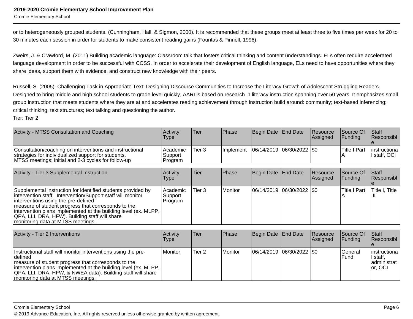Cromie Elementary School

or to heterogeneously grouped students. (Cunningham, Hall, & Sigmon, 2000). It is recommended that these groups meet at least three to five times per week for 20 to30 minutes each session in order for students to make consistent reading gains (Fountas & Pinnell, 1996).

Zweirs, J. & Crawford, M. (2011) Building academic language: Classroom talk that fosters critical thinking and content understandings. ELs often require acceleratedlanguage development in order to be successful with CCSS. In order to accelerate their development of English language, ELs need to have opportunities where they share ideas, support them with evidence, and construct new knowledge with their peers.

Russell, S. (2005). Challenging Task in Appropriate Text: Designing Discourse Communities to Increase the Literacy Growth of Adolescent Struggling Readers.Designed to bring middle and high school students to grade level quickly, AARI is based on research in literacy instruction spanning over 50 years. It emphasizes smallgroup instruction that meets students where they are at and accelerates reading achievement through instruction build around: community; text-based inferencing;critical thinking; text structures; text talking and questioning the author.

| Activity - MTSS Consultation and Coaching                                                                                                                              | <b>Activity</b><br>Type          | Tier   | Phase             | Begin Date End Date         | <b>Resource</b><br><b>Assigned</b> | <b>Source Of</b><br><b>IFunding</b> | <b>Staff</b><br><b>Responsibl</b> |
|------------------------------------------------------------------------------------------------------------------------------------------------------------------------|----------------------------------|--------|-------------------|-----------------------------|------------------------------------|-------------------------------------|-----------------------------------|
| Consultation/coaching on interventions and instructional<br>strategies for individualized support for students.<br>MTSS meetings; initial and 2-3 cycles for follow-up | l Academic<br>Support<br>Program | Tier 3 | <b>Ilmplement</b> | 06/14/2019  06/30/2022  \$0 |                                    | <b>Title I Part</b>                 | linstructiona<br>I staff. OCI     |

| Activity - Tier 3 Supplemental Instruction                                                                                                                                                                                                                                                                                                                                           | Activity<br><b>Type</b>          | lTier: | Phase   | Begin Date End Date        | Resource<br>Assigned | <b>Source Of</b><br> Funding | <b>Staff</b><br>Responsibl |
|--------------------------------------------------------------------------------------------------------------------------------------------------------------------------------------------------------------------------------------------------------------------------------------------------------------------------------------------------------------------------------------|----------------------------------|--------|---------|----------------------------|----------------------|------------------------------|----------------------------|
| Supplemental instruction for identified students provided by<br>intervention staff. Intervention/Support staff will monitor<br>interventions using the pre-defined<br>measure of student progress that corresponds to the<br>intervention plans implemented at the building level (ex. MLPP,<br> QPA, LLI, DRA, HFW). Building staff will share<br>monitoring data at MTSS meetings. | Academic<br> Support <br>Program | Tier 3 | Monitor | 06/14/2019 06/30/2022 \\$0 |                      | Title I Part                 | Title I, Title<br>Ш        |

| Activity - Tier 2 Interventions                                                                                                                                                                                                                                                                           | <b>Activity</b><br><b>Type</b> | ∣Tier             | <b>Phase</b> | Begin Date End Date           | Resource<br>Assigned | Source Of<br><b>Funding</b> | <b>Staff</b><br>Responsibl                                |
|-----------------------------------------------------------------------------------------------------------------------------------------------------------------------------------------------------------------------------------------------------------------------------------------------------------|--------------------------------|-------------------|--------------|-------------------------------|----------------------|-----------------------------|-----------------------------------------------------------|
| Instructional staff will monitor interventions using the pre-<br>ldefined.<br>measure of student progress that corresponds to the<br>intervention plans implemented at the building level (ex. MLPP,<br> QPA, LLI, DRA, HFW, & NWEA data). Building staff will share<br>monitoring data at MTSS meetings. | <i><u><b>I</b>Monitor</u></i>  | Tier <sub>2</sub> | l Monitor    | $ 06/14/2019 06/30/2022 $ \$0 |                      | lGeneral<br>lFund.          | linstructiona l<br>' staff,<br> administrat  <br>lor. OCI |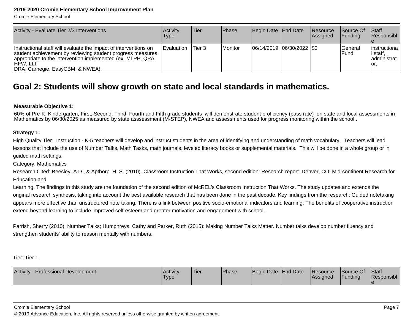Cromie Elementary School

| Activity - Evaluate Tier 2/3 Interventions                                                                                                                                                                                                       | Activity<br>Type  | Tier   | <b>IPhase</b> | Begin Date End Date       | <b>Resource</b><br>Assigned | <b>Source Of</b><br><b>IFunding</b> | <b>Staff</b><br>Responsibl                         |
|--------------------------------------------------------------------------------------------------------------------------------------------------------------------------------------------------------------------------------------------------|-------------------|--------|---------------|---------------------------|-----------------------------|-------------------------------------|----------------------------------------------------|
| Instructional staff will evaluate the impact of interventions on<br>student achievement by reviewing student progress measures<br>appropriate to the intervention implemented (ex. MLPP, QPA,<br>IHFW. LLI.<br> DRA, Carnegie, EasyCBM, & NWEA). | <b>Evaluation</b> | Tier 3 | Monitor       | 06/14/2019 06/30/2022 \$0 |                             | <b>General</b><br>lFund             | linstructiona<br>'I staff.<br>ladministrat<br>lor. |

### **Goal 2: Students will show growth on state and local standards in mathematics.**

#### **Measurable Objective 1:**

60% of Pre-K, Kindergarten, First, Second, Third, Fourth and Fifth grade students will demonstrate student proficiency (pass rate) on state and local assessments in Mathematics by 06/30/2025 as measured by state asssessment (M-STEP), NWEA and assessments used for progress monitoring within the school..

#### **Strategy 1:**

High Quality Tier I Instruction - K-5 teachers will develop and instruct students in the area of identifying and understanding of math vocabulary. Teachers will leadlessons that include the use of Number Talks, Math Tasks, math journals, leveled literacy books or supplemental materials. This will be done in a whole group or in guided math settings.

Category: Mathematics

Research Cited: Beesley, A.D., & Apthorp. H. S. (2010). Classroom Instruction That Works, second edition: Research report. Denver, CO: Mid-continent Research forEducation and

Learning. The findings in this study are the foundation of the second edition of McREL's Classroom Instruction That Works. The study updates and extends theoriginal research synthesis, taking into account the best available research that has been done in the past decade. Key findings from the research: Guided notetaking appears more effective than unstructured note taking. There is a link between positive socio-emotional indicators and learning. The benefits of cooperative instructionextend beyond learning to include improved self-esteem and greater motivation and engagement with school.

Parrish, Sherry (2010): Number Talks; Humphreys, Cathy and Parker, Ruth (2015): Making Number Talks Matter. Number talks develop number fluency andstrengthen students' ability to reason mentally with numbers.

Tier: Tier 1

| <b>Activity - Professional Development</b> | Activity | <b>Tier</b> | Phase | Begin Date End Date | <b>Resource</b> | Source Of      | <b>Staff</b> |
|--------------------------------------------|----------|-------------|-------|---------------------|-----------------|----------------|--------------|
|                                            | 'Type    |             |       |                     | Assianed        | <b>Funding</b> | Responsibl   |
|                                            |          |             |       |                     |                 |                |              |

Cromie Elementary School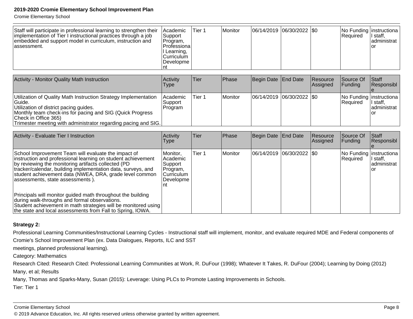Trimester meeting with administrator regarding pacing and SIG.

Cromie Elementary School

| Staff will participate in professional learning to strengthen their<br>implementation of Tier I instructional practices through a job<br>embedded and support model in curriculum, instruction and<br>lassessment. | Academic <br>Support<br>Program,<br> Professiona <i> </i><br>Learning,<br>Curriculum<br> Developme <br>Int | Tier 1            | Monitor   | 06/14/2019          | $ 06/30/2022 $ \$0 |                      | No Funding   instructiona<br>Required | I staff,<br>ladministrat<br>l or |
|--------------------------------------------------------------------------------------------------------------------------------------------------------------------------------------------------------------------|------------------------------------------------------------------------------------------------------------|-------------------|-----------|---------------------|--------------------|----------------------|---------------------------------------|----------------------------------|
| <b>Activity - Monitor Quality Math Instruction</b>                                                                                                                                                                 | Activity<br><b>Type</b>                                                                                    | Tier              | Phase     | Begin Date End Date |                    | Resource<br>Assigned | Source Of<br><b>IFundina</b>          | Staff<br>Responsibl              |
| Utilization of Quality Math Instruction Strategy Implementation<br>Guide.<br>Utilization of district pacing guides.<br>Monthly team check-ins for pacing and SIG (Quick Progress<br>Check in Office 365)           | Academic <br>Support<br>Program                                                                            | Tier <sub>1</sub> | l Monitor | 106/14/2019         | 06/30/2022  \$0    |                      | No Funding   instructiona<br>Required | l staff.<br>ladministrat<br>Οľ   |

| Activity - Evaluate Tier I Instruction                                                                                                                                                                                                                                                                                                     | Activity<br><b>Type</b>                                                     | lTier. | <b>Phase</b> | Begin Date End Date         | <b>Resource</b><br>Assigned | Source Of<br>Funding | <b>Staff</b><br>Responsibl                                 |
|--------------------------------------------------------------------------------------------------------------------------------------------------------------------------------------------------------------------------------------------------------------------------------------------------------------------------------------------|-----------------------------------------------------------------------------|--------|--------------|-----------------------------|-----------------------------|----------------------|------------------------------------------------------------|
| School Improvement Team will evaluate the impact of<br>instruction and professional learning on student achievement<br>by reviewing the monitoring artifacts collected (PD)<br>tracker/calendar, building implementation data, surveys, and<br>student achievement data (NWEA, DRA, grade level common<br>assessments, state assessments). | Monitor.<br>l Academic<br> Support <br>Program,<br> Curriculum<br>Developme | Tier 1 | Monitor      | 06/14/2019 06/30/2022   \$0 |                             | Required             | No Funding instructiona<br>II staff.<br>administrat<br>10r |
| Principals will monitor guided math throughout the building<br>during walk-throughs and formal observations.<br>Student achievement in math strategies will be monitored using<br>the state and local assessments from Fall to Spring, IOWA.                                                                                               |                                                                             |        |              |                             |                             |                      |                                                            |

#### **Strategy 2:**

Professional Learning Communities/Instructional Learning Cycles - Instructional staff will implement, monitor, and evaluate required MDE and Federal components of

Cromie's School Improvement Plan (ex. Data Dialogues, Reports, ILC and SST

meetings, planned professional learning).

Category: Mathematics

 Research Cited: Research Cited: Professional Learning Communities at Work, R. DuFour (1998); Whatever It Takes, R. DuFour (2004); Learning by Doing (2012)Many, et al; Results

Many, Thomas and Sparks-Many, Susan (2015): Leverage: Using PLCs to Promote Lasting Improvements in Schools.

Tier: Tier 1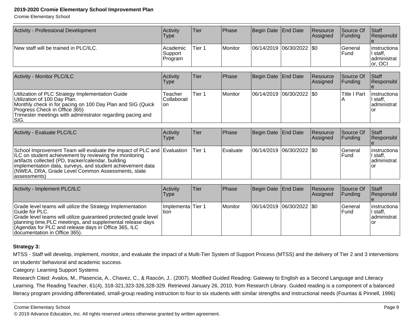Cromie Elementary School

| Activity - Professional Development   | Activity<br>Type               | 'Tier  | <b>Phase</b>     | Begin Date End Date      | Resource<br>Assigned | Source Of<br><b>IFundina</b> | <b>Staff</b><br><b>Responsibl</b>                    |
|---------------------------------------|--------------------------------|--------|------------------|--------------------------|----------------------|------------------------------|------------------------------------------------------|
| New staff will be trained in PLC/ILC. | Academic<br>Support<br>Program | Tier 1 | <i>I</i> Monitor | 06/14/2019 06/30/2022 50 |                      | lGeneral<br>l Fund           | linstructiona<br>' staff,<br>ladministrat<br>or, OCI |

| Activity - Monitor PLC/ILC                                                                                                                                                                                                                             | Activity<br><b>Type</b>        | ∣Tier∶ | Phase          | Begin Date End Date       | Resource<br>Assigned | <b>Source Of</b><br>IFundina | <b>Staff</b><br>Responsibl                          |
|--------------------------------------------------------------------------------------------------------------------------------------------------------------------------------------------------------------------------------------------------------|--------------------------------|--------|----------------|---------------------------|----------------------|------------------------------|-----------------------------------------------------|
| Utilization of PLC Strategy Implementation Guide<br>Utilization of 100 Day Plan.<br>Monthly check in for pacing on 100 Day Plan and SIG (Quick<br>Progress Check in Office 365)<br>Trimester meetings with administrator regarding pacing and<br>ISIG. | Teacher<br> Collaborati<br>lon | Tier 1 | <b>Monitor</b> | 06/14/2019 06/30/2022 \$0 |                      | lTitle I Part                | instructiona  <br>' staff,<br>ladministrat l<br>lor |

| Activity - Evaluate PLC/ILC                                                                                                                                                                                                                                                                                                  | Activity<br><b>Type</b> | lTier.  | <b>IPhase</b>    | Begin Date End Date           | Resource<br><b>Assigned</b> | <b>Source Of</b><br>IFundina | <b>Staff</b><br>Responsibl                        |
|------------------------------------------------------------------------------------------------------------------------------------------------------------------------------------------------------------------------------------------------------------------------------------------------------------------------------|-------------------------|---------|------------------|-------------------------------|-----------------------------|------------------------------|---------------------------------------------------|
| School Improvement Team will evaluate the impact of PLC and Evaluation<br>ILC on student achievement by reviewing the monitoring<br>artifacts collected (PD, tracker/calendar, building<br>limplementation data, surveys, and student achievement data<br>(NWEA, DRA, Grade Level Common Assessments, state<br>(assessments) |                         | lTier 1 | <b>IEvaluate</b> | $ 06/14/2019 06/30/2022 $ \$0 |                             | lGeneral<br>l Fund           | linstructiona l<br>' staff.<br>administrat<br>lor |

| Activity - Implement PLC/ILC                                                                                                                                                                                                                                                                            | Activitv<br>Type          | lTier. | <b>IPhase</b> | Begin Date End Date       | <b>Resource</b><br>Assigned | <b>Source Of</b><br>IFundina | <b>Staff</b><br><b>Responsibl</b>                 |
|---------------------------------------------------------------------------------------------------------------------------------------------------------------------------------------------------------------------------------------------------------------------------------------------------------|---------------------------|--------|---------------|---------------------------|-----------------------------|------------------------------|---------------------------------------------------|
| Grade level teams will utilize the Strategy Implementation<br>IGuide for PLC.<br>Grade level teams will utilize guaranteed protected grade level<br>planning time, PLC meetings, and supplemental release days<br>(Agendas for PLC and release days in Office 365, ILC<br>documentation in Office 365). | Implementa Tier 1<br>tion |        | l Monitor     | 06/14/2019 06/30/2022 \$0 |                             | lGeneral<br>IFund            | linstructional<br>I staff.<br>ladministrat<br>Tor |

#### **Strategy 3:**

MTSS - Staff will develop, implement, monitor, and evaluate the impact of a Multi-Tier System of Support Process (MTSS) and the delivery of Tier 2 and 3 interventionson students' behavioral and academic success.

#### Category: Learning Support Systems

 Research Cited: Avalos, M., Plasencia, A., Chavez, C., & Rascón, J.. (2007). Modified Guided Reading: Gateway to English as a Second Language and Literacy Learning. The Reading Teacher, 61(4), 318-321,323-326,328-329. Retrieved January 26, 2010, from Research Library. Guided reading is a component of a balancedliteracy program providing differentiated, small-group reading instruction to four to six students with similar strengths and instructional needs (Fountas & Pinnell, 1996)

#### Cromie Elementary School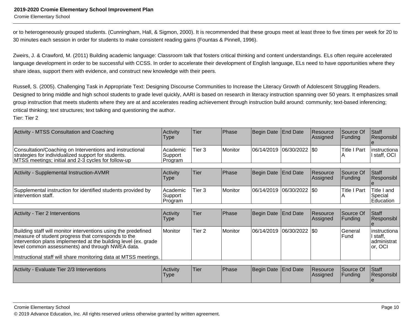Cromie Elementary School

or to heterogeneously grouped students. (Cunningham, Hall, & Sigmon, 2000). It is recommended that these groups meet at least three to five times per week for 20 to30 minutes each session in order for students to make consistent reading gains (Fountas & Pinnell, 1996).

Zweirs, J. & Crawford, M. (2011) Building academic language: Classroom talk that fosters critical thinking and content understandings. ELs often require acceleratedlanguage development in order to be successful with CCSS. In order to accelerate their development of English language, ELs need to have opportunities where they share ideas, support them with evidence, and construct new knowledge with their peers.

Russell, S. (2005). Challenging Task in Appropriate Text: Designing Discourse Communities to Increase the Literacy Growth of Adolescent Struggling Readers.Designed to bring middle and high school students to grade level quickly, AARI is based on research in literacy instruction spanning over 50 years. It emphasizes smallgroup instruction that meets students where they are at and accelerates reading achievement through instruction build around: community; text-based inferencing;critical thinking; text structures; text talking and questioning the author.

| <b>Activity - MTSS Consultation and Coaching</b>                                                                                                                                                                                             | Activity<br>Type               | Tier        | Phase          | Begin Date | <b>End Date</b>             | Resource<br>Assigned | Source Of<br>Funding     | Staff<br>Responsibl                                 |
|----------------------------------------------------------------------------------------------------------------------------------------------------------------------------------------------------------------------------------------------|--------------------------------|-------------|----------------|------------|-----------------------------|----------------------|--------------------------|-----------------------------------------------------|
| Consultation/Coaching on Interventions and instructional<br>strategies for individualized support for students.<br>MTSS meetings; initial and 2-3 cycles for follow-up                                                                       | Academic<br>Support<br>Program | Tier 3      | Monitor        | 06/14/2019 | 06/30/2022                  | <b>SO</b>            | <b>Title I Part</b><br>A | linstructiona<br>I staff, OCI                       |
| Activity - Supplemental Instruction-AVMR                                                                                                                                                                                                     | Activity<br><b>Type</b>        | <b>Tier</b> | Phase          | Begin Date | <b>End Date</b>             | Resource<br>Assigned | Source Of<br>Funding     | Staff<br>Responsibl                                 |
| Supplemental instruction for identified students provided by<br>intervention staff.                                                                                                                                                          | Academic<br>Support<br>Program | Tier 3      | Monitor        |            | 06/14/2019  06/30/2022  \$0 |                      | Title I Part             | Title I and<br>Special<br>Education                 |
| Activity - Tier 2 Interventions                                                                                                                                                                                                              | Activity<br>Type               | <b>Tier</b> | Phase          | Begin Date | End Date                    | Resource<br>Assigned | Source Of<br>Funding     | Staff<br>Responsibl                                 |
| Building staff will monitor interventions using the predefined<br>measure of student progress that corresponds to the<br>intervention plans implemented at the building level (ex. grade<br>level common assessments) and through NWEA data. | Monitor                        | Tier 2      | <b>Monitor</b> | 06/14/2019 | 06/30/2022                  | I\$0                 | General<br>Fund          | Iinstructiona<br>I staff,<br>administrat<br>or, OCI |
| Instructional staff will share monitoring data at MTSS meetings.                                                                                                                                                                             |                                |             |                |            |                             |                      |                          |                                                     |
| Activity - Evaluate Tier 2/3 Interventions                                                                                                                                                                                                   | Activity<br>Type               | <b>Tier</b> | Phase          | Begin Date | <b>End Date</b>             | Resource<br>Assigned | Source Of<br>Funding     | Staff<br>Responsibl                                 |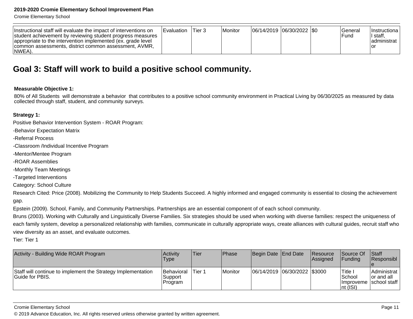Cromie Elementary School

| Instructional staff will evaluate the impact of interventions on<br>student achievement by reviewing student progress measures<br>appropriate to the intervention implemented (ex. grade level<br>common assessments, district common assessment, AVMR,<br>INWEA). | <b>Evaluation</b> | ∣Tier 3 | Monitor |  | 06/14/2019  06/30/2022  \$0 |  | <b>General</b><br>'Fund | Ilnstructional<br>' staff.<br>ladministrat l |
|--------------------------------------------------------------------------------------------------------------------------------------------------------------------------------------------------------------------------------------------------------------------|-------------------|---------|---------|--|-----------------------------|--|-------------------------|----------------------------------------------|
|--------------------------------------------------------------------------------------------------------------------------------------------------------------------------------------------------------------------------------------------------------------------|-------------------|---------|---------|--|-----------------------------|--|-------------------------|----------------------------------------------|

### **Goal 3: Staff will work to build a positive school community.**

#### **Measurable Objective 1:**

80% of All Students will demonstrate a behavior that contributes to a positive school community environment in Practical Living by 06/30/2025 as measured by datacollected through staff, student, and community surveys.

#### **Strategy 1:**

Positive Behavior Intervention System - ROAR Program:

-Behavior Expectation Matrix

-Referral Process

-Classroom /Individual Incentive Program

-Mentor/Mentee Program

-ROAR Assemblies

-Monthly Team Meetings

-Targeted Interventions

Category: School Culture

Research Cited: Price (2008). Mobilizing the Community to Help Students Succeed. A highly informed and engaged community is essential to closing the achievement gap.

Epstein (2009). School, Family, and Community Partnerships. Partnerships are an essential component of of each school community.

Bruns (2003). Working with Culturally and Linguistically Diverse Families. Six strategies should be used when working with diverse families: respect the uniqueness ofeach family system, develop a personalized relationship with families, communicate in culturally appropriate ways, create alliances with cultural guides, recruit staff whoview diversity as an asset, and evaluate outcomes.

Tier: Tier 1

| Activity - Building Wide ROAR Program                                           | <b>Activity</b><br>Type          | Tier   | Phase   | Begin Date End Date            | <b>Resource</b><br>Assigned | <b>Source Of</b><br><b>IFundina</b> | <b>Staff</b><br>Responsibl                               |
|---------------------------------------------------------------------------------|----------------------------------|--------|---------|--------------------------------|-----------------------------|-------------------------------------|----------------------------------------------------------|
| Staff will continue to implement the Strategy Implementation<br>Guide for PBIS. | Behavioral<br>Support<br>Program | Tier 1 | Monitor | 06/14/2019  06/30/2022  \$3000 |                             | Title i<br>School<br>Int (ISI)      | Administrat<br>for and all<br>  Improveme   school staff |

Cromie Elementary School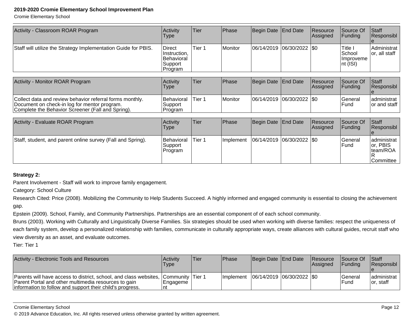Document on check-in log for mentor program. Complete the Behavior Screener (Fall and Spring).

Cromie Elementary School

| Activity<br>Type                                            | Tier            | Phase   |  | <b>Resource</b><br>Assigned                | Source Of<br>Funding                                                             | <b>Staff</b><br>Responsibl        |
|-------------------------------------------------------------|-----------------|---------|--|--------------------------------------------|----------------------------------------------------------------------------------|-----------------------------------|
| Direct<br>Instruction,<br>Behavioral<br>Support<br> Program | Tier 1          | Monitor |  |                                            | Title I<br>School<br>Ilmproveme<br>$\vert$ nt (ISI)                              | Administrat<br>or, all staff      |
| Activity                                                    | Tier            | Phase   |  |                                            | Source Of                                                                        | <b>Staff</b><br>Responsibl        |
| Behavioral                                                  | Tier 1          | Monitor |  |                                            | General                                                                          | administrat                       |
|                                                             | Type<br>Support |         |  | Begin Date End Date<br>Begin Date End Date | 06/14/2019 06/30/2022 50<br>Resource<br>Assigned<br> 06/14/2019  06/30/2022  \$0 | Funding<br>for and staff<br>IFund |

| Activity - Evaluate ROAR Program                            | <b>Activity</b><br>Type                 | <b>Tier</b> | <b>Phase</b>      | Begin Date End Date           | Resource<br>Assigned | Source Of<br> Funding | <b>Staff</b><br>Responsibl                         |
|-------------------------------------------------------------|-----------------------------------------|-------------|-------------------|-------------------------------|----------------------|-----------------------|----------------------------------------------------|
| Staff, student, and parent online survey (Fall and Spring). | <b>Behavioral</b><br>Support<br>Program | Tier 1      | <b>Ilmplement</b> | $ 06/14/2019 06/30/2022 $ \$0 |                      | lGeneral<br>lFund     | administrat  <br>or, PBIS<br>team/ROA<br>Committee |

#### **Strategy 2:**

Parent Involvement - Staff will work to improve family engagement.

Category: School Culture

Research Cited: Price (2008). Mobilizing the Community to Help Students Succeed. A highly informed and engaged community is essential to closing the achievement gap.

Epstein (2009). School, Family, and Community Partnerships. Partnerships are an essential component of of each school community.

SupportProgram

Bruns (2003). Working with Culturally and Linguistically Diverse Families. Six strategies should be used when working with diverse families: respect the uniqueness ofeach family system, develop a personalized relationship with families, communicate in culturally appropriate ways, create alliances with cultural guides, recruit staff whoview diversity as an asset, and evaluate outcomes.

Tier: Tier 1

| Activity - Electronic Tools and Resources                                                                                                                                              | <b>Activity</b><br>Type                 | 'Tier | <b>IPhase</b> | Begin Date End Date         | Resource<br>Assigned | Source Of<br><b>IFunding</b> | Staff<br>Responsibl        |
|----------------------------------------------------------------------------------------------------------------------------------------------------------------------------------------|-----------------------------------------|-------|---------------|-----------------------------|----------------------|------------------------------|----------------------------|
| Parents will have access to district, school, and class websites,<br>Parent Portal and other multimedia resources to gain<br>information to follow and support their child's progress. | . ICommunitv ITier 1<br> Engageme<br>nt |       | Ilmplement    | 06/14/2019  06/30/2022  \$0 |                      | lGeneral<br>lFund            | ladministrat<br>lor. staff |

#### Cromie Elementary School

© 2019 Advance Education, Inc. All rights reserved unless otherwise granted by written agreement.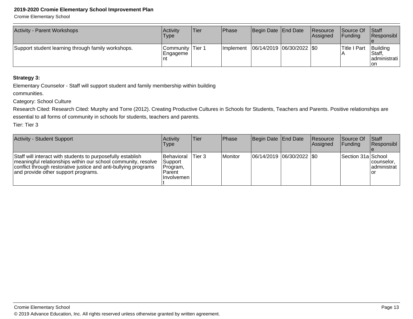Cromie Elementary School

| <b>Activity - Parent Workshops</b>                 | <b>Activity</b><br>'Type      | <b>Tier</b> | Phase      | Begin Date End Date         | Resource<br><b>Assianed</b> | <b>Source Of</b><br>IFundina | <b>Staff</b><br><b>Responsibl</b>                  |
|----------------------------------------------------|-------------------------------|-------------|------------|-----------------------------|-----------------------------|------------------------------|----------------------------------------------------|
| Support student learning through family workshops. | Community Tier 1<br> Engageme |             | Ilmplement | 06/14/2019  06/30/2022  \$0 |                             | Title I Part                 | Building<br><b>Staff</b><br>ladministrati l<br>Ton |

#### **Strategy 3:**

Elementary Counselor - Staff will support student and family membership within building

communities.

Category: School Culture

 Research Cited: Research Cited: Murphy and Torre (2012). Creating Productive Cultures in Schools for Students, Teachers and Parents. Positive relationships areessential to all forms of community in schools for students, teachers and parents.

| Activity - Student Support                                                                                                                                                                                                             | Activity<br>Type                                                           | lTier. | <b>Phase</b> | Begin Date End Date         | Resource<br><b>Assigned</b> | <b>Source Of</b><br>IFundina | <b>Staff</b><br>Responsibl       |
|----------------------------------------------------------------------------------------------------------------------------------------------------------------------------------------------------------------------------------------|----------------------------------------------------------------------------|--------|--------------|-----------------------------|-----------------------------|------------------------------|----------------------------------|
| Staff will interact with students to purposefully establish<br>meaningful relationships within our school community, resolve<br>conflict through restorative justice and anti-bullying programs<br>and provide other support programs. | <b>Behavioral</b><br> Support<br>Program,<br><b>Parent</b><br>l Involvemen | Tier 3 | Monitor      | 06/14/2019  06/30/2022  \$0 |                             | Section 31a School           | counselor,<br>administrat<br>Tor |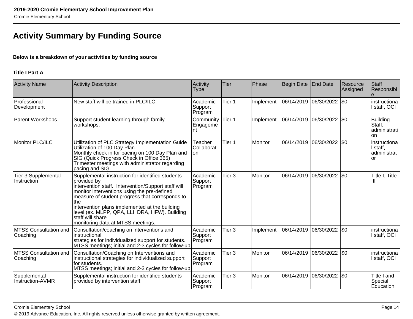# **Activity Summary by Funding Source**

#### **Below is a breakdown of your activities by funding source**

#### **Title I Part A**

| <b>Activity Name</b>                      | <b>Activity Description</b>                                                                                                                                                                                                                                                                                                                                                                  | Activity<br><b>Type</b>        | <b>Tier</b>       | Phase          | Begin Date | End Date                  | Resource<br>Assigned | Staff<br>Responsibl<br>$\theta$                        |
|-------------------------------------------|----------------------------------------------------------------------------------------------------------------------------------------------------------------------------------------------------------------------------------------------------------------------------------------------------------------------------------------------------------------------------------------------|--------------------------------|-------------------|----------------|------------|---------------------------|----------------------|--------------------------------------------------------|
| Professional<br>Development               | New staff will be trained in PLC/ILC.                                                                                                                                                                                                                                                                                                                                                        | Academic<br>Support<br>Program | Tier 1            | Implement      |            | 06/14/2019 06/30/2022 \$0 |                      | instructiona<br>staff, OCI                             |
| <b>Parent Workshops</b>                   | Support student learning through family<br>workshops.                                                                                                                                                                                                                                                                                                                                        | Community<br>Engageme<br>nt    | Tier 1            | Implement      | 06/14/2019 | $ 06/30/2022 $ \$0        |                      | <b>Building</b><br>Staff,<br>administrati<br><b>on</b> |
| Monitor PLC/ILC                           | Utilization of PLC Strategy Implementation Guide<br>Utilization of 100 Day Plan.<br>Monthly check in for pacing on 100 Day Plan and<br>SIG (Quick Progress Check in Office 365)<br>Trimester meetings with administrator regarding<br>pacing and SIG.                                                                                                                                        | Teacher<br>Collaborati<br>on   | Tier 1            | <b>Monitor</b> | 06/14/2019 | 06/30/2022  \$0           |                      | linstructiona<br>I staff,<br>administrat<br><b>or</b>  |
| <b>Tier 3 Supplemental</b><br>Instruction | Supplemental instruction for identified students<br>provided by<br>intervention staff. Intervention/Support staff will<br>monitor interventions using the pre-defined<br>measure of student progress that corresponds to<br>the<br>intervention plans implemented at the building<br>level (ex. MLPP, QPA, LLI, DRA, HFW). Building<br>staff will share<br>monitoring data at MTSS meetings. | Academic<br>Support<br>Program | Tier <sub>3</sub> | Monitor        | 06/14/2019 | 06/30/2022                | $ 30\rangle$         | Title I, Title<br>Ш                                    |
| MTSS Consultation and<br>Coaching         | Consultation/coaching on interventions and<br>instructional<br>strategies for individualized support for students.<br>MTSS meetings; initial and 2-3 cycles for follow-up                                                                                                                                                                                                                    | Academic<br>Support<br>Program | Tier <sub>3</sub> | Implement      | 06/14/2019 | 06/30/2022   \$0          |                      | instructiona<br>I staff, OCI                           |
| <b>MTSS Consultation and</b><br>Coaching  | Consultation/Coaching on Interventions and<br>instructional strategies for individualized support<br>for students.<br>MTSS meetings; initial and 2-3 cycles for follow-up                                                                                                                                                                                                                    | Academic<br>Support<br>Program | Tier <sub>3</sub> | Monitor        | 06/14/2019 | 06/30/2022   \$0          |                      | instructiona<br>staff, OCI                             |
| Supplemental<br>Instruction-AVMR          | Supplemental instruction for identified students<br>provided by intervention staff.                                                                                                                                                                                                                                                                                                          | Academic<br>Support<br>Program | Tier <sub>3</sub> | Monitor        | 06/14/2019 | 06/30/2022   \$0          |                      | Title I and<br>Special<br>Education                    |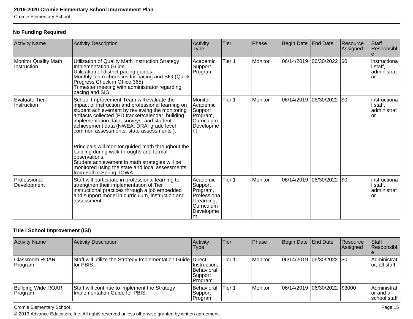Cromie Elementary School

#### **No Funding Required**

| <b>Activity Name</b>                  | Activity Description                                                                                                                                                                                                                                                                                                                                                                                                                                                                                                                                                                               | Activity<br>Type                                                                               | Tier   | Phase          | <b>Begin Date</b> | <b>End Date</b>             | Resource<br>Assigned | <b>Staff</b><br>Responsibl<br>e               |
|---------------------------------------|----------------------------------------------------------------------------------------------------------------------------------------------------------------------------------------------------------------------------------------------------------------------------------------------------------------------------------------------------------------------------------------------------------------------------------------------------------------------------------------------------------------------------------------------------------------------------------------------------|------------------------------------------------------------------------------------------------|--------|----------------|-------------------|-----------------------------|----------------------|-----------------------------------------------|
| Monitor Quality Math<br>Instruction   | Utilization of Quality Math Instruction Strategy<br>Implementation Guide.<br>Utilization of district pacing guides.<br>Monthly team check-ins for pacing and SIG (Quick<br>Progress Check in Office 365)<br>Trimester meeting with administrator regarding<br>pacing and SIG.                                                                                                                                                                                                                                                                                                                      | Academic<br>Support<br>Program                                                                 | Tier 1 | <b>Monitor</b> | 06/14/2019        | 06/30/2022                  | \$0                  | instructiona<br>I staff,<br>administrat<br>or |
| Evaluate Tier I<br><b>Instruction</b> | School Improvement Team will evaluate the<br>impact of instruction and professional learning on<br>student achievement by reviewing the monitoring<br>artifacts collected (PD tracker/calendar, building<br>implementation data, surveys, and student<br>achievement data (NWEA, DRA, grade level<br>common assessments, state assessments).<br>Principals will monitor guided math throughout the<br>building during walk-throughs and formal<br>observations.<br>Student achievement in math strategies will be<br>monitored using the state and local assessments<br>from Fall to Spring, IOWA. | Monitor,<br>Academic<br>Support<br>Program,<br>Curriculum<br>Developme<br>nt                   | Tier 1 | Monitor        |                   | 06/14/2019 06/30/2022   \$0 |                      | instructiona<br>I staff,<br>administrat<br>or |
| Professional<br>Development           | Staff will participate in professional learning to<br>strengthen their implementation of Tier I<br>instructional practices through a job embedded<br>and support model in curriculum, instruction and<br>assessment.                                                                                                                                                                                                                                                                                                                                                                               | Academic<br>Support<br>Program,<br>Professiona<br>I Learning,<br>Curriculum<br>Developme<br>nt | Tier 1 | <b>Monitor</b> | 06/14/2019        | 06/30/2022                  | \$0                  | instructiona<br>I staff,<br>administrat<br>or |

#### **Title I School Improvement (ISI)**

| <b>Activity Name</b>                 | <b>Activity Description</b>                                                     | Activity<br><b>Type</b>                          | Tier   | Phase   | Begin Date End Date           | Resource<br><b>Assigned</b> | Staff<br>Responsibl                        |
|--------------------------------------|---------------------------------------------------------------------------------|--------------------------------------------------|--------|---------|-------------------------------|-----------------------------|--------------------------------------------|
| <b>Classroom ROAR</b><br>Program     | Staff will utilize the Strategy Implementation Guide Direct<br>lfor PBIS.       | Instruction,<br>Behavioral<br>Support<br>Program | Tier 1 | Monitor | 06/14/2019  06/30/2022  \$0   |                             | Administrat<br>or, all staff               |
| <b>Building Wide ROAR</b><br>Program | Staff will continue to implement the Strategy<br>Implementation Guide for PBIS. | Behavioral<br>Support<br>Program                 | Tier 1 | Monitor | 06/14/2019 06/30/2022 \\$3000 |                             | Administrat<br>or and all<br>Ischool staff |

Cromie Elementary School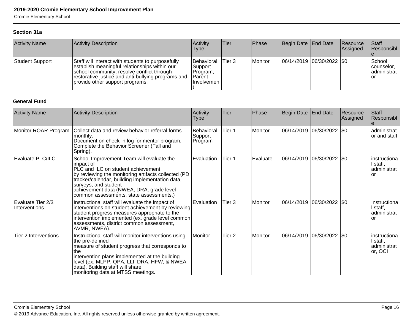Cromie Elementary School

#### **Section 31a**

| <b>Activity Name</b> | Activity Description                                                                                                                                                                                                                      | Activity<br>Type                                                     | lTier.  | Phase            | Begin Date End Date           | Resource<br><b>Assigned</b> | <b>Staff</b><br>Responsibl                 |
|----------------------|-------------------------------------------------------------------------------------------------------------------------------------------------------------------------------------------------------------------------------------------|----------------------------------------------------------------------|---------|------------------|-------------------------------|-----------------------------|--------------------------------------------|
| Student Support      | Staff will interact with students to purposefully<br>establish meaningful relationships within our<br>school community, resolve conflict through<br>restorative justice and anti-bullying programs and<br>provide other support programs. | <b>IBehavioral</b><br>Support<br>Program,<br>'Parent<br>l Involvemen | lTier 3 | <i>I</i> Monitor | $ 06/14/2019 06/30/2022 $ \$0 |                             | School<br>counselor.<br>administrat<br>lor |

#### **General Fund**

| <b>Activity Name</b>               | <b>Activity Description</b>                                                                                                                                                                                                                                                                                           | Activity<br>Type                        | Tier              | Phase          | Begin Date | End Date                    | Resource<br>Assigned | Staff<br>Responsibl                                 |
|------------------------------------|-----------------------------------------------------------------------------------------------------------------------------------------------------------------------------------------------------------------------------------------------------------------------------------------------------------------------|-----------------------------------------|-------------------|----------------|------------|-----------------------------|----------------------|-----------------------------------------------------|
| Monitor ROAR Program               | Collect data and review behavior referral forms<br>monthly.<br>Document on check-in log for mentor program.<br>Complete the Behavior Screener (Fall and<br>Spring).                                                                                                                                                   | <b>Behavioral</b><br>Support<br>Program | Tier 1            | <b>Monitor</b> |            | 06/14/2019 06/30/2022   \$0 |                      | administrat<br>or and staff                         |
| Evaluate PLC/ILC                   | School Improvement Team will evaluate the<br>impact of<br>PLC and ILC on student achievement<br>by reviewing the monitoring artifacts collected (PD<br>tracker/calendar, building implementation data,<br>surveys, and student<br>achievement data (NWEA, DRA, grade level<br>common assessments, state assessments.) | Evaluation                              | Tier 1            | Evaluate       | 06/14/2019 | 06/30/2022 \$0              |                      | Iinstructiona<br>I staff,<br>ladministrat<br>lor    |
| Evaluate Tier 2/3<br>Interventions | Instructional staff will evaluate the impact of<br>interventions on student achievement by reviewing<br>student progress measures appropriate to the<br>intervention implemented (ex. grade level common)<br>assessments, district common assessment,<br>AVMR, NWEA).                                                 | Evaluation                              | Tier <sub>3</sub> | <b>Monitor</b> | 06/14/2019 | 06/30/2022 \\$0             |                      | IInstructiona<br>I staff,<br>ladministrat<br>lor    |
| Tier 2 Interventions               | Instructional staff will monitor interventions using<br>the pre-defined<br>measure of student progress that corresponds to<br>the<br>intervention plans implemented at the building<br>level (ex. MLPP, QPA, LLI, DRA, HFW, & NWEA<br>data). Building staff will share<br>monitoring data at MTSS meetings.           | Monitor                                 | Tier 2            | Monitor        | 06/14/2019 | 06/30/2022 \$0              |                      | Iinstructiona<br>I staff,<br>administrat<br>or, OCI |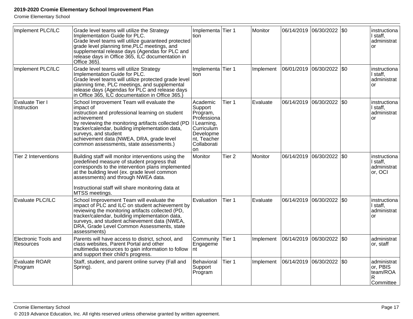Cromie Elementary School

| Implement PLC/ILC                        | Grade level teams will utilize the Strategy<br>Implementation Guide for PLC.<br>Grade level teams will utilize guaranteed protected<br>grade level planning time, PLC meetings, and<br>supplemental release days (Agendas for PLC and<br>release days in Office 365, ILC documentation in<br>Office $365$ )                                        | Implementa Tier 1<br>tion                                                                                                    |                   | Monitor   |            | 06/14/2019 06/30/2022 \$0 |              | instructiona<br>I staff,<br>administrat<br>or         |
|------------------------------------------|----------------------------------------------------------------------------------------------------------------------------------------------------------------------------------------------------------------------------------------------------------------------------------------------------------------------------------------------------|------------------------------------------------------------------------------------------------------------------------------|-------------------|-----------|------------|---------------------------|--------------|-------------------------------------------------------|
| Implement PLC/ILC                        | Grade level teams will utilize Strategy<br>Implementation Guide for PLC.<br>Grade level teams will utilize protected grade level<br>planning time, PLC meetings, and supplemental<br> release days (Agendas for PLC and release days<br>in Office 365, ILC documentation in Office 365.                                                            | Implementa Tier 1<br>tion                                                                                                    |                   | Implement |            | 06/01/2019 06/30/2022     | I\$0         | instructiona<br>I staff,<br>administrat<br><b>or</b>  |
| Evaluate Tier I<br>Instruction           | School Improvement Team will evaluate the<br>impact of<br>instruction and professional learning on student<br>achievement<br>by reviewing the monitoring artifacts collected (PD<br>tracker/calendar, building implementation data,<br>surveys, and student<br>achievement data (NWEA, DRA, grade level<br>common assessments, state assessments.) | Academic<br>Support<br>Program,<br>Professiona<br>I Learning,<br>Curriculum<br>Developme<br>nt, Teacher<br>Collaborati<br>on | Tier 1            | Evaluate  | 06/14/2019 | 06/30/2022                | I\$0         | instructiona<br>I staff,<br>administrat<br><b>or</b>  |
| Tier 2 Interventions                     | Building staff will monitor interventions using the<br>predefined measure of student progress that<br>corresponds to the intervention plans implemented<br>at the building level (ex. grade level common<br>assessments) and through NWEA data.<br>Instructional staff will share monitoring data at<br>MTSS meetings.                             | Monitor                                                                                                                      | Tier <sub>2</sub> | Monitor   |            | 06/14/2019 06/30/2022 \$0 |              | instructiona<br>I staff,<br>administrat<br>or, OCI    |
| Evaluate PLC/ILC                         | School Improvement Team will evaluate the<br>impact of PLC and ILC on student achievement by<br>reviewing the monitoring artifacts collected (PD,<br>tracker/calendar, building implementation data,<br>surveys, and student achievement data (NWEA,<br>DRA, Grade Level Common Assessments, state<br>assessments)                                 | Evaluation                                                                                                                   | Tier 1            | Evaluate  |            | 06/14/2019 06/30/2022 \$0 |              | instructiona<br>I staff,<br>administrat<br><b>or</b>  |
| <b>Electronic Tools and</b><br>Resources | Parents will have access to district, school, and<br>class websites, Parent Portal and other<br>multimedia resources to gain information to follow<br>and support their child's progress.                                                                                                                                                          | Community<br>Engageme<br>Int                                                                                                 | Tier 1            | Implement |            | 06/14/2019 06/30/2022     | $ 30\rangle$ | administrat<br>or, staff                              |
| Evaluate ROAR<br>Program                 | Staff, student, and parent online survey (Fall and<br>Spring).                                                                                                                                                                                                                                                                                     | Behavioral<br>Support<br>Program                                                                                             | Tier 1            | Implement | 06/14/2019 | 06/30/2022                | $ 30\rangle$ | administrat<br>or, PBIS<br>team/ROA<br>R<br>Committee |